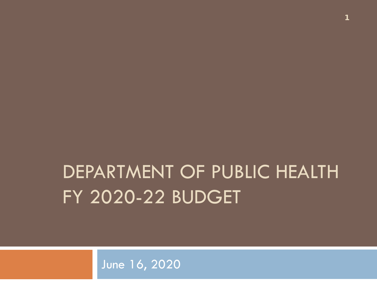### DEPARTMENT OF PUBLIC HEALTH FY 2020-22 BUDGET

June 16, 2020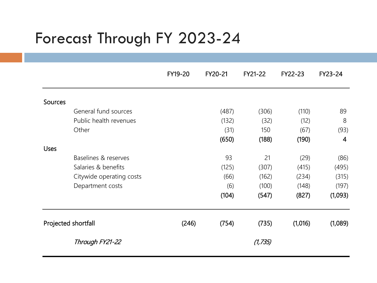#### Forecast Through FY 2023-24

|                |                          | FY19-20 | FY20-21 | FY21-22  | FY22-23 | FY23-24        |
|----------------|--------------------------|---------|---------|----------|---------|----------------|
| <b>Sources</b> |                          |         |         |          |         |                |
|                | General fund sources     |         | (487)   | (306)    | (110)   | 89             |
|                | Public health revenues   |         | (132)   | (32)     | (12)    | 8              |
|                | Other                    |         | (31)    | 150      | (67)    | (93)           |
|                |                          |         |         |          |         | $\overline{4}$ |
|                |                          |         | (650)   | (188)    | (190)   |                |
| <b>Uses</b>    | Baselines & reserves     |         | 93      | 21       | (29)    | (86)           |
|                | Salaries & benefits      |         |         |          |         |                |
|                |                          |         | (125)   | (307)    | (415)   | (495)          |
|                | Citywide operating costs |         | (66)    | (162)    | (234)   | (315)          |
|                | Department costs         |         | (6)     | (100)    | (148)   | (197)          |
|                |                          |         | (104)   | (547)    | (827)   | (1,093)        |
|                | Projected shortfall      | (246)   | (754)   | (735)    | (1,016) | (1,089)        |
|                | Through FY21-22          |         |         | (1, 735) |         |                |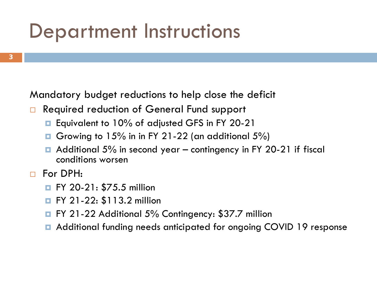#### Department Instructions

Mandatory budget reductions to help close the deficit

- □ Required reduction of General Fund support
	- **Equivalent to 10% of adjusted GFS in FY 20-21**
	- Growing to 15% in in FY 21-22 (an additional 5%)
	- $\blacksquare$  Additional 5% in second year contingency in FY 20-21 if fiscal conditions worsen
- For DPH:
	- **FY 20-21: \$75.5 million**
	- **FY 21-22: \$113.2 million**
	- **EX 21-22 Additional 5% Contingency: \$37.7 million**
	- Additional funding needs anticipated for ongoing COVID 19 response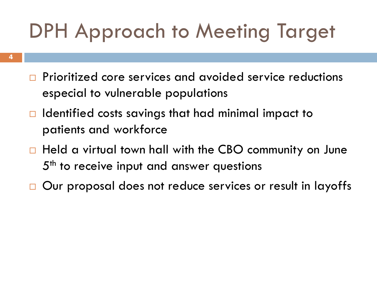### DPH Approach to Meeting Target

- **Prioritized core services and avoided service reductions** especial to vulnerable populations
- $\Box$  Identified costs savings that had minimal impact to patients and workforce
- □ Held a virtual town hall with the CBO community on June 5<sup>th</sup> to receive input and answer questions
- □ Our proposal does not reduce services or result in layoffs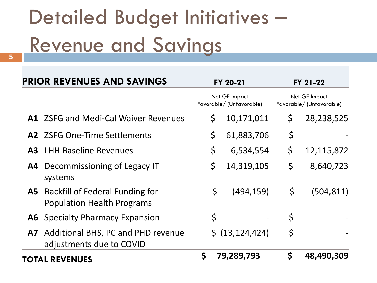# Detailed Budget Initiatives – Revenue and Savings **5**

| <b>PRIOR REVENUES AND SAVINGS</b> |                                                                                | FY 20-21                                  | FY 21-22<br>Net GF Impact<br>Favorable/ (Unfavorable) |            |  |
|-----------------------------------|--------------------------------------------------------------------------------|-------------------------------------------|-------------------------------------------------------|------------|--|
|                                   |                                                                                | Net GF Impact<br>Favorable/ (Unfavorable) |                                                       |            |  |
|                                   | <b>A1</b> ZSFG and Medi-Cal Waiver Revenues                                    | \$<br>10,171,011                          | $\zeta$                                               | 28,238,525 |  |
|                                   | A2 ZSFG One-Time Settlements                                                   | \$<br>61,883,706                          | \$                                                    |            |  |
|                                   | <b>A3</b> LHH Baseline Revenues                                                | \$<br>6,534,554                           | \$                                                    | 12,115,872 |  |
|                                   | A4 Decommissioning of Legacy IT<br>systems                                     | \$<br>14,319,105                          | \$                                                    | 8,640,723  |  |
|                                   | <b>A5</b> Backfill of Federal Funding for<br><b>Population Health Programs</b> | \$<br>(494, 159)                          | \$                                                    | (504, 811) |  |
|                                   | <b>A6</b> Specialty Pharmacy Expansion                                         | \$                                        | \$                                                    |            |  |
|                                   | A7 Additional BHS, PC and PHD revenue<br>adjustments due to COVID              | \$ (13, 124, 424)                         | \$                                                    |            |  |
|                                   | <b>TOTAL REVENUES</b>                                                          | \$<br>79,289,793                          | \$                                                    | 48,490,309 |  |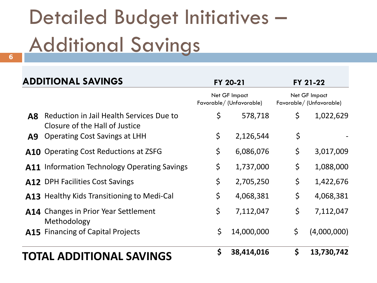# Detailed Budget Initiatives – Additional Savings **6**

| <b>ADDITIONAL SAVINGS</b>                                                                     | FY 20-21                                 | FY 21-22<br>Net GF Impact<br>Favorable/ (Unfavorable) |             |  |
|-----------------------------------------------------------------------------------------------|------------------------------------------|-------------------------------------------------------|-------------|--|
|                                                                                               | Net GF Impact<br>Favorable/(Unfavorable) |                                                       |             |  |
| Reduction in Jail Health Services Due to<br>$\overline{AB}$<br>Closure of the Hall of Justice | \$<br>578,718                            | \$                                                    | 1,022,629   |  |
| <b>Operating Cost Savings at LHH</b><br>A9                                                    | \$<br>2,126,544                          | \$                                                    |             |  |
| <b>A10</b> Operating Cost Reductions at ZSFG                                                  | \$<br>6,086,076                          | \$                                                    | 3,017,009   |  |
| <b>A11</b> Information Technology Operating Savings                                           | \$<br>1,737,000                          | \$                                                    | 1,088,000   |  |
| A12 DPH Facilities Cost Savings                                                               | \$<br>2,705,250                          | \$                                                    | 1,422,676   |  |
| <b>A13</b> Healthy Kids Transitioning to Medi-Cal                                             | \$<br>4,068,381                          | \$                                                    | 4,068,381   |  |
| <b>A14</b> Changes in Prior Year Settlement<br>Methodology                                    | \$<br>7,112,047                          | \$                                                    | 7,112,047   |  |
| <b>A15</b> Financing of Capital Projects                                                      | \$<br>14,000,000                         | \$                                                    | (4,000,000) |  |
| <b>TOTAL ADDITIONAL SAVINGS</b>                                                               | \$<br>38,414,016                         | \$                                                    | 13,730,742  |  |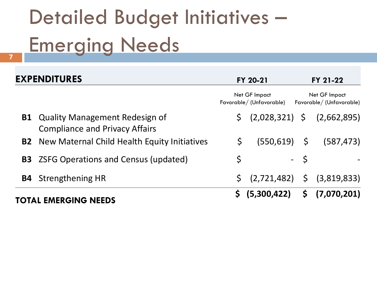# Detailed Budget Initiatives – Emerging Needs **7**

| <b>EXPENDITURES</b>                                                               |                                          | FY 20-21        |                                          | FY 21-22                                |
|-----------------------------------------------------------------------------------|------------------------------------------|-----------------|------------------------------------------|-----------------------------------------|
|                                                                                   | Net GF Impact<br>Favorable/(Unfavorable) |                 | Net GF Impact<br>Favorable/(Unfavorable) |                                         |
| <b>B1</b> Quality Management Redesign of<br><b>Compliance and Privacy Affairs</b> | \$.                                      |                 |                                          | $(2,028,321)$ \$ $(2,662,895)$          |
| <b>B2</b> New Maternal Child Health Equity Initiatives                            | \$                                       | $(550, 619)$ \$ |                                          | (587, 473)                              |
| <b>B3</b> ZSFG Operations and Census (updated)                                    | $\varsigma$                              |                 | - \$                                     |                                         |
| <b>B4</b> Strengthening HR                                                        |                                          |                 |                                          | $\zeta$ (2,721,482) $\zeta$ (3,819,833) |
| TOTAL EMERGING NEEDS                                                              |                                          | \$ (5,300,422)  |                                          | $\frac{1}{2}$ (7,070,201)               |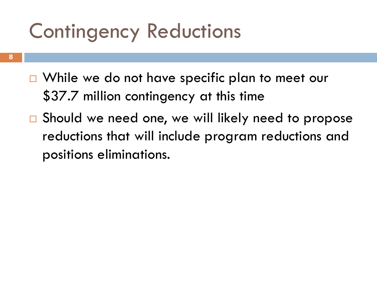### Contingency Reductions

- **8**
- $\Box$  While we do not have specific plan to meet our \$37.7 million contingency at this time
- □ Should we need one, we will likely need to propose reductions that will include program reductions and positions eliminations.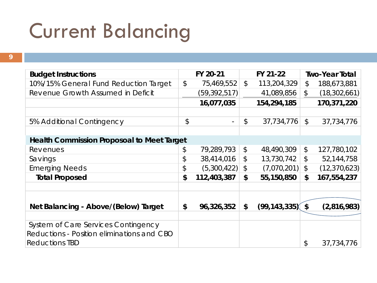### Current Balancing

| ł |  |
|---|--|
|   |  |
| × |  |
|   |  |
|   |  |
|   |  |

| <b>Budget Instructions</b>                        |               | FY 20-21       |               | FY 21-22            |                           | <b>Two-Year Total</b> |
|---------------------------------------------------|---------------|----------------|---------------|---------------------|---------------------------|-----------------------|
| 10%/15% General Fund Reduction Target             | $\mathcal{L}$ | 75,469,552     | $\mathcal{L}$ | 113,204,329         | \$                        | 188,673,881           |
| Revenue Growth Assumed in Deficit                 |               | (59, 392, 517) |               | 41,089,856          | $\frac{1}{2}$             | (18, 302, 661)        |
|                                                   |               | 16,077,035     |               | 154,294,185         |                           | 170,371,220           |
|                                                   |               |                |               |                     |                           |                       |
| 5% Additional Contingency                         | \$            | $\blacksquare$ | \$            | 37,734,776          | $\mathcal{L}$             | 37,734,776            |
|                                                   |               |                |               |                     |                           |                       |
| <b>Health Commission Proposoal to Meet Target</b> |               |                |               |                     |                           |                       |
| Revenues                                          | \$            | 79,289,793     | $\frac{1}{2}$ | 48,490,309          | $\frac{1}{2}$             | 127,780,102           |
| Savings                                           | \$            | 38,414,016     | \$            | 13,730,742          | \$                        | 52,144,758            |
| <b>Emerging Needs</b>                             | \$            | (5,300,422)    | \$            | (7,070,201)         | $\boldsymbol{\mathsf{S}}$ | (12, 370, 623)        |
| <b>Total Proposed</b>                             | \$            | 112,403,387    | \$            | 55,150,850          | \$                        | 167,554,237           |
|                                                   |               |                |               |                     |                           |                       |
|                                                   |               |                |               |                     |                           |                       |
| Net Balancing - Above/(Below) Target              | \$            | 96,326,352     | \$            | $(99, 143, 335)$ \$ |                           | (2,816,983)           |
|                                                   |               |                |               |                     |                           |                       |
| System of Care Services Contingency               |               |                |               |                     |                           |                       |
| Reductions - Position eliminations and CBO        |               |                |               |                     |                           |                       |
| <b>Reductions TBD</b>                             |               |                |               |                     | \$                        | 37,734,776            |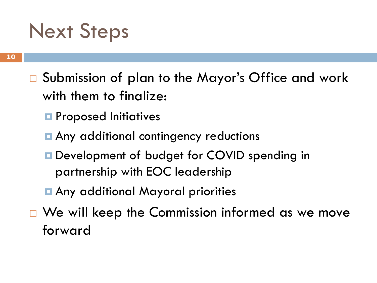#### Next Steps

- □ Submission of plan to the Mayor's Office and work with them to finalize:
	- **P** Proposed Initiatives
	- **Any additional contingency reductions**
	- **Development of budget for COVID spending in** partnership with EOC leadership
	- Any additional Mayoral priorities
- $\Box$  We will keep the Commission informed as we move forward